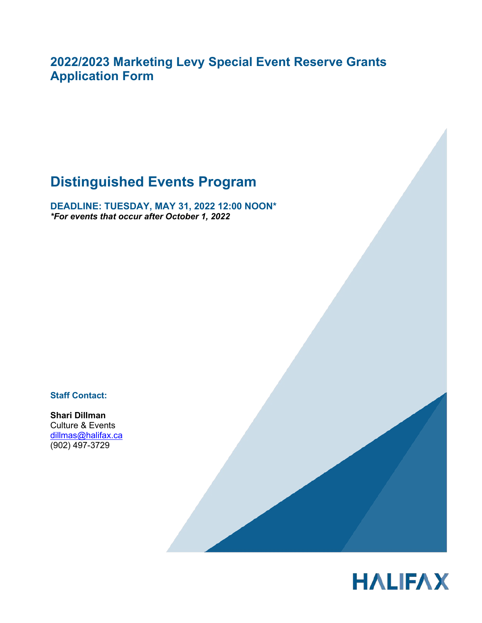**2022/2023 Marketing Levy Special Event Reserve Grants Application Form** 

# **Distinguished Events Program**

**DEADLINE: TUESDAY, MAY 31, 2022 12:00 NOON\*** *\*For events that occur after October 1, 2022* 

**Staff Contact:**

**Shari Dillman** Culture & Events dillmas@halifax.ca (902) 497-3729



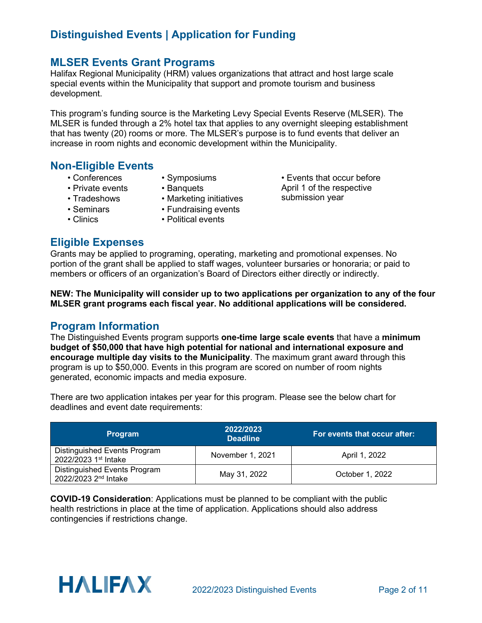### **MLSER Events Grant Programs**

Halifax Regional Municipality (HRM) values organizations that attract and host large scale special events within the Municipality that support and promote tourism and business development.

This program's funding source is the Marketing Levy Special Events Reserve (MLSER). The MLSER is funded through a 2% hotel tax that applies to any overnight sleeping establishment that has twenty (20) rooms or more. The MLSER's purpose is to fund events that deliver an increase in room nights and economic development within the Municipality.

### **Non-Eligible Events**

- Conferences
- Symposiums
- Private events
- Banquets
- Tradeshows
- Marketing initiatives
- Seminars • Clinics
- Fundraising events • Political events
- April 1 of the respective submission year

• Events that occur before

### **Eligible Expenses**

Grants may be applied to programing, operating, marketing and promotional expenses. No portion of the grant shall be applied to staff wages, volunteer bursaries or honoraria; or paid to members or officers of an organization's Board of Directors either directly or indirectly.

**NEW: The Municipality will consider up to two applications per organization to any of the four MLSER grant programs each fiscal year. No additional applications will be considered.** 

#### **Program Information**

The Distinguished Events program supports **one-time large scale events** that have a **minimum budget of \$50,000 that have high potential for national and international exposure and encourage multiple day visits to the Municipality**. The maximum grant award through this program is up to \$50,000. Events in this program are scored on number of room nights generated, economic impacts and media exposure.

There are two application intakes per year for this program. Please see the below chart for deadlines and event date requirements:

| <b>Program</b>                                                   | 2022/2023<br><b>Deadline</b> | For events that occur after: |
|------------------------------------------------------------------|------------------------------|------------------------------|
| Distinguished Events Program<br>2022/2023 1st Intake             | November 1, 2021             | April 1, 2022                |
| Distinguished Events Program<br>2022/2023 2 <sup>nd</sup> Intake | May 31, 2022                 | October 1, 2022              |

**COVID-19 Consideration**: Applications must be planned to be compliant with the public health restrictions in place at the time of application. Applications should also address contingencies if restrictions change.

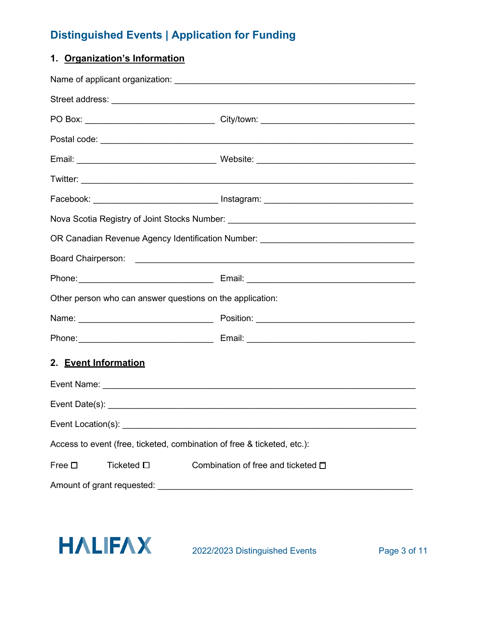### **1. Organization's Information**

|                                                                                                                                                                                                                                | Facebook: _______________________________ Instagram: ___________________________ |  |  |  |
|--------------------------------------------------------------------------------------------------------------------------------------------------------------------------------------------------------------------------------|----------------------------------------------------------------------------------|--|--|--|
|                                                                                                                                                                                                                                | Nova Scotia Registry of Joint Stocks Number: ___________________________________ |  |  |  |
|                                                                                                                                                                                                                                | OR Canadian Revenue Agency Identification Number: ______________________________ |  |  |  |
|                                                                                                                                                                                                                                |                                                                                  |  |  |  |
|                                                                                                                                                                                                                                |                                                                                  |  |  |  |
| Other person who can answer questions on the application:                                                                                                                                                                      |                                                                                  |  |  |  |
|                                                                                                                                                                                                                                |                                                                                  |  |  |  |
|                                                                                                                                                                                                                                |                                                                                  |  |  |  |
| 2. Event Information                                                                                                                                                                                                           |                                                                                  |  |  |  |
| Event Name: Letters and the contract of the contract of the contract of the contract of the contract of the contract of the contract of the contract of the contract of the contract of the contract of the contract of the co |                                                                                  |  |  |  |
|                                                                                                                                                                                                                                |                                                                                  |  |  |  |
| Event Location(s):                                                                                                                                                                                                             |                                                                                  |  |  |  |
| Access to event (free, ticketed, combination of free & ticketed, etc.):                                                                                                                                                        |                                                                                  |  |  |  |
| Ticketed □<br>Free $\square$                                                                                                                                                                                                   | Combination of free and ticketed $\Box$                                          |  |  |  |
| Amount of grant requested:                                                                                                                                                                                                     |                                                                                  |  |  |  |

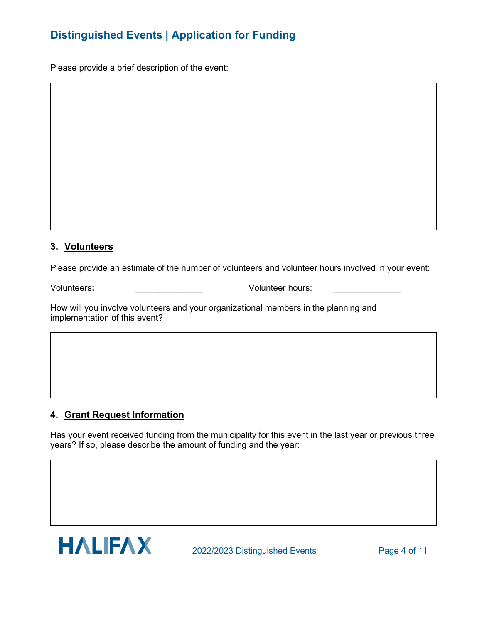Please provide a brief description of the event:

#### **3. Volunteers**

Please provide an estimate of the number of volunteers and volunteer hours involved in your event:

Volunteers**:** \_\_\_\_\_\_\_\_\_\_\_\_\_\_ Volunteer hours: \_\_\_\_\_\_\_\_\_\_\_\_\_\_

How will you involve volunteers and your organizational members in the planning and implementation of this event?

#### **4. Grant Request Information**

Has your event received funding from the municipality for this event in the last year or previous three years? If so, please describe the amount of funding and the year:

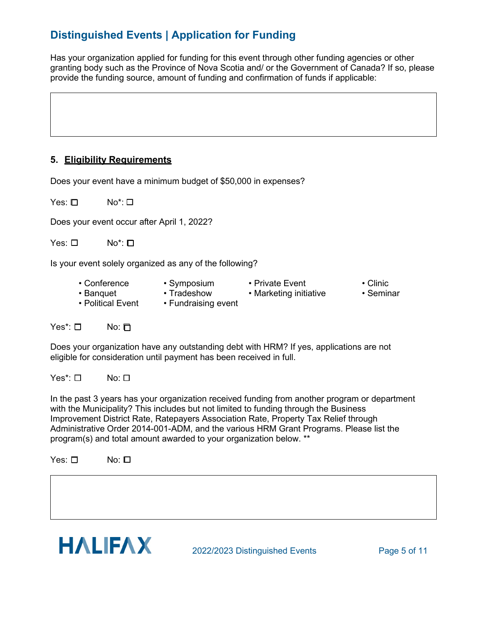Has your organization applied for funding for this event through other funding agencies or other granting body such as the Province of Nova Scotia and/ or the Government of Canada? If so, please provide the funding source, amount of funding and confirmation of funds if applicable:

#### **5. Eligibility Requirements**

Does your event have a minimum budget of \$50,000 in expenses?

Yes: □ No<sup>\*</sup>: □

Does your event occur after April 1, 2022?

Yes: □ No<sup>\*</sup>: □

Is your event solely organized as any of the following?

- Conference Symposium Private Event Clinic
	-
- 
- 
- -
- Banquet Tradeshow Marketing initiative Seminar<br>• Political Event Fundraising event

• Fundraising event

Yes\*: **□** No: <del>□</del>

Does your organization have any outstanding debt with HRM? If yes, applications are not eligible for consideration until payment has been received in full.

Yes<sup>\*</sup>: <del></del> **No:** □

In the past 3 years has your organization received funding from another program or department with the Municipality? This includes but not limited to funding through the Business Improvement District Rate, Ratepayers Association Rate, Property Tax Relief through Administrative Order 2014-001-ADM, and the various HRM Grant Programs. Please list the program(s) and total amount awarded to your organization below. \*\*

Yes: <del>□</del> No: □

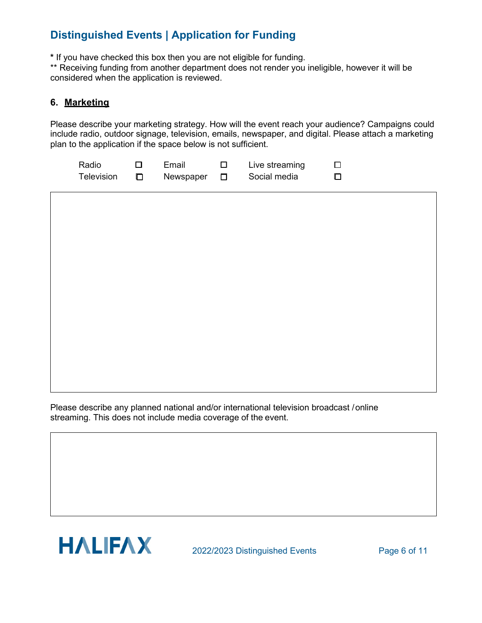**\*** If you have checked this box then you are not eligible for funding.

\*\* Receiving funding from another department does not render you ineligible, however it will be considered when the application is reviewed.

#### **6. Marketing**

Please describe your marketing strategy. How will the event reach your audience? Campaigns could include radio, outdoor signage, television, emails, newspaper, and digital. Please attach a marketing plan to the application if the space below is not sufficient.

| Radio      | Fmail     | Live streaming |    |
|------------|-----------|----------------|----|
| Television | Newspaper | Social media   | D. |

Please describe any planned national and/or international television broadcast /online streaming. This does not include media coverage of the event.



2022/2023 Distinguished Events Page 6 of 11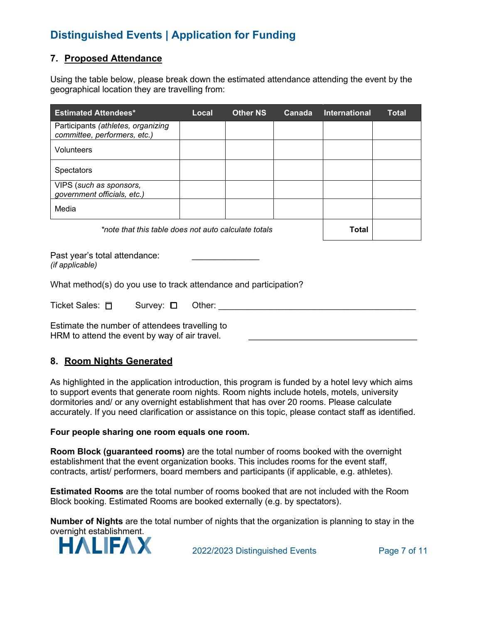#### **7. Proposed Attendance**

Using the table below, please break down the estimated attendance attending the event by the geographical location they are travelling from:

| <b>Estimated Attendees*</b>                                        | Local | <b>Other NS</b> | Canada       | International | <b>Total</b> |
|--------------------------------------------------------------------|-------|-----------------|--------------|---------------|--------------|
| Participants (athletes, organizing<br>committee, performers, etc.) |       |                 |              |               |              |
| <b>Volunteers</b>                                                  |       |                 |              |               |              |
| <b>Spectators</b>                                                  |       |                 |              |               |              |
| VIPS (such as sponsors,<br>government officials, etc.)             |       |                 |              |               |              |
| Media                                                              |       |                 |              |               |              |
| *note that this table does not auto calculate totals               |       |                 | <b>Total</b> |               |              |
|                                                                    |       |                 |              |               |              |

Past year's total attendance: *(if applicable)*

What method(s) do you use to track attendance and participation?

| Ticket Sales: 口 | Survey: □ Other: |  |
|-----------------|------------------|--|
|-----------------|------------------|--|

Estimate the number of attendees travelling to HRM to attend the event by way of air travel.

#### **8. Room Nights Generated**

As highlighted in the application introduction, this program is funded by a hotel levy which aims to support events that generate room nights. Room nights include hotels, motels, university dormitories and/ or any overnight establishment that has over 20 rooms. Please calculate accurately. If you need clarification or assistance on this topic, please contact staff as identified.

#### **Four people sharing one room equals one room.**

**Room Block (guaranteed rooms)** are the total number of rooms booked with the overnight establishment that the event organization books. This includes rooms for the event staff, contracts, artist/ performers, board members and participants (if applicable, e.g. athletes).

**Estimated Rooms** are the total number of rooms booked that are not included with the Room Block booking. Estimated Rooms are booked externally (e.g. by spectators).

**Number of Nights** are the total number of nights that the organization is planning to stay in the overnight establishment.



2022/2023 Distinguished Events Page 7 of 11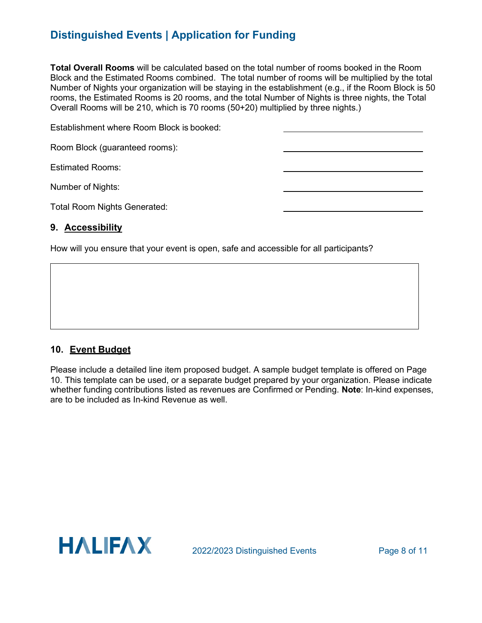**Total Overall Rooms** will be calculated based on the total number of rooms booked in the Room Block and the Estimated Rooms combined. The total number of rooms will be multiplied by the total Number of Nights your organization will be staying in the establishment (e.g., if the Room Block is 50 rooms, the Estimated Rooms is 20 rooms, and the total Number of Nights is three nights, the Total Overall Rooms will be 210, which is 70 rooms (50+20) multiplied by three nights.)

| Establishment where Room Block is booked: |  |
|-------------------------------------------|--|
| Room Block (guaranteed rooms):            |  |
| <b>Estimated Rooms:</b>                   |  |
| Number of Nights:                         |  |
| <b>Total Room Nights Generated:</b>       |  |

#### **9. Accessibility**

How will you ensure that your event is open, safe and accessible for all participants?

#### **10. Event Budget**

Please include a detailed line item proposed budget. A sample budget template is offered on Page 10. This template can be used, or a separate budget prepared by your organization. Please indicate whether funding contributions listed as revenues are Confirmed or Pending. **Note**: In-kind expenses, are to be included as In-kind Revenue as well.

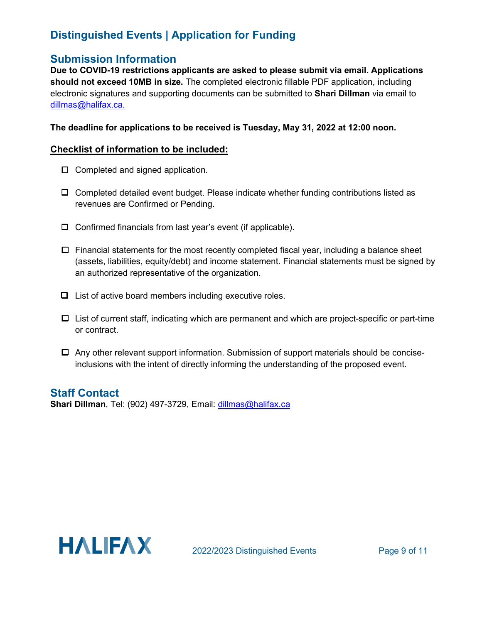### **Submission Information**

**Due to COVID-19 restrictions applicants are asked to please submit via email. Applications should not exceed 10MB in size.** The completed electronic fillable PDF application, including electronic signatures and supporting documents can be submitted to **Shari Dillman** via email to [dillmas@halifax.ca.](mailto:dillmas@halifax.ca)

#### **The deadline for applications to be received is Tuesday, May 31, 2022 at 12:00 noon.**

#### **Checklist of information to be included:**

- $\Box$  Completed and signed application.
- $\Box$  Completed detailed event budget. Please indicate whether funding contributions listed as revenues are Confirmed or Pending.
- $\Box$  Confirmed financials from last year's event (if applicable).
- $\Box$  Financial statements for the most recently completed fiscal year, including a balance sheet (assets, liabilities, equity/debt) and income statement. Financial statements must be signed by an authorized representative of the organization.
- $\Box$  List of active board members including executive roles.
- List of current staff, indicating which are permanent and which are project-specific or part-time or contract.
- $\Box$  Any other relevant support information. Submission of support materials should be conciseinclusions with the intent of directly informing the understanding of the proposed event.

### **Staff Contact**

**Shari Dillman**, Tel: (902) 497-3729, Email: dillmas@halifax.ca

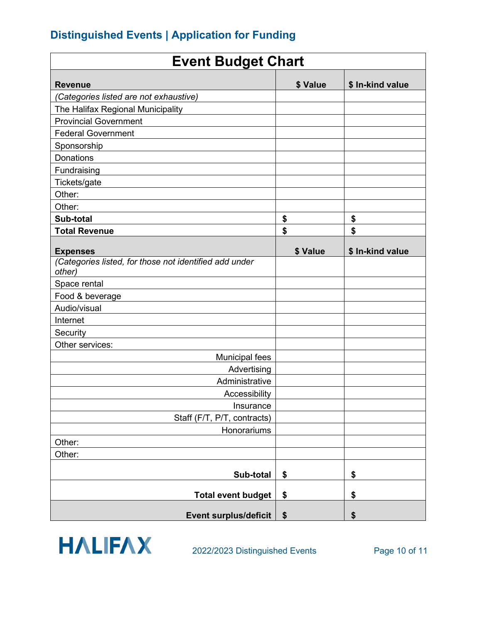| <b>Event Budget Chart</b>                                        |          |                  |  |
|------------------------------------------------------------------|----------|------------------|--|
| <b>Revenue</b>                                                   | \$ Value | \$ In-kind value |  |
| (Categories listed are not exhaustive)                           |          |                  |  |
| The Halifax Regional Municipality                                |          |                  |  |
| <b>Provincial Government</b>                                     |          |                  |  |
| <b>Federal Government</b>                                        |          |                  |  |
| Sponsorship                                                      |          |                  |  |
| <b>Donations</b>                                                 |          |                  |  |
| Fundraising                                                      |          |                  |  |
| Tickets/gate                                                     |          |                  |  |
| Other:                                                           |          |                  |  |
| Other:                                                           |          |                  |  |
| Sub-total                                                        | \$       | \$               |  |
| <b>Total Revenue</b>                                             | \$       | \$               |  |
|                                                                  |          |                  |  |
| <b>Expenses</b>                                                  | \$ Value | \$ In-kind value |  |
| (Categories listed, for those not identified add under<br>other) |          |                  |  |
| Space rental                                                     |          |                  |  |
| Food & beverage                                                  |          |                  |  |
| Audio/visual                                                     |          |                  |  |
| Internet                                                         |          |                  |  |
| Security                                                         |          |                  |  |
| Other services:                                                  |          |                  |  |
| <b>Municipal fees</b>                                            |          |                  |  |
| Advertising                                                      |          |                  |  |
| Administrative                                                   |          |                  |  |
| Accessibility                                                    |          |                  |  |
| Insurance                                                        |          |                  |  |
| Staff (F/T, P/T, contracts)                                      |          |                  |  |
| Honorariums                                                      |          |                  |  |
| Other:                                                           |          |                  |  |
| Other:                                                           |          |                  |  |
| Sub-total                                                        | \$       | \$               |  |
| <b>Total event budget</b>                                        | \$       | \$               |  |
| <b>Event surplus/deficit</b>                                     | \$       | \$               |  |
|                                                                  |          |                  |  |